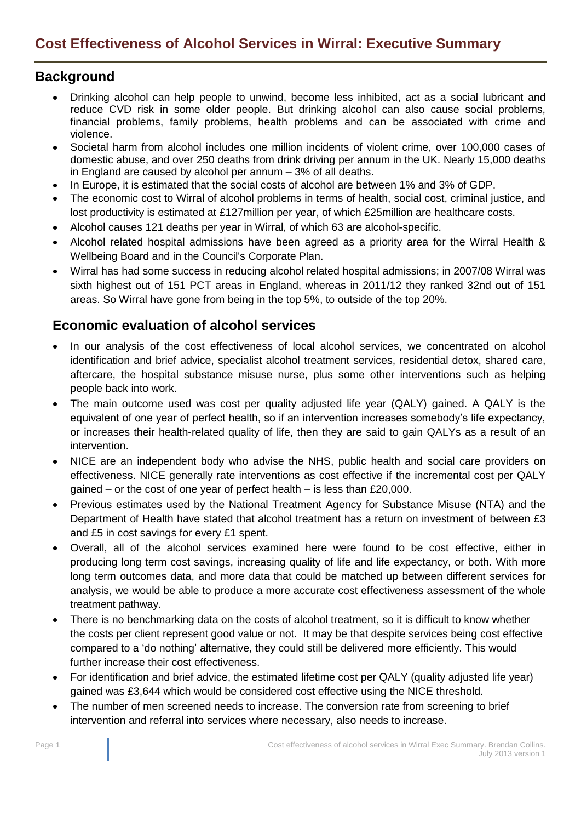## **Background**

- Drinking alcohol can help people to unwind, become less inhibited, act as a social lubricant and reduce CVD risk in some older people. But drinking alcohol can also cause social problems, financial problems, family problems, health problems and can be associated with crime and violence.
- Societal harm from alcohol includes one million incidents of violent crime, over 100,000 cases of domestic abuse, and over 250 deaths from drink driving per annum in the UK. Nearly 15,000 deaths in England are caused by alcohol per annum – 3% of all deaths.
- In Europe, it is estimated that the social costs of alcohol are between 1% and 3% of GDP.
- The economic cost to Wirral of alcohol problems in terms of health, social cost, criminal justice, and lost productivity is estimated at £127million per year, of which £25million are healthcare costs.
- Alcohol causes 121 deaths per year in Wirral, of which 63 are alcohol-specific.
- Alcohol related hospital admissions have been agreed as a priority area for the Wirral Health & Wellbeing Board and in the Council's Corporate Plan.
- Wirral has had some success in reducing alcohol related hospital admissions; in 2007/08 Wirral was sixth highest out of 151 PCT areas in England, whereas in 2011/12 they ranked 32nd out of 151 areas. So Wirral have gone from being in the top 5%, to outside of the top 20%.

## **Economic evaluation of alcohol services**

- In our analysis of the cost effectiveness of local alcohol services, we concentrated on alcohol identification and brief advice, specialist alcohol treatment services, residential detox, shared care, aftercare, the hospital substance misuse nurse, plus some other interventions such as helping people back into work.
- The main outcome used was cost per quality adjusted life year (QALY) gained. A QALY is the equivalent of one year of perfect health, so if an intervention increases somebody's life expectancy, or increases their health-related quality of life, then they are said to gain QALYs as a result of an intervention.
- NICE are an independent body who advise the NHS, public health and social care providers on effectiveness. NICE generally rate interventions as cost effective if the incremental cost per QALY gained – or the cost of one year of perfect health – is less than £20,000.
- Previous estimates used by the National Treatment Agency for Substance Misuse (NTA) and the Department of Health have stated that alcohol treatment has a return on investment of between £3 and £5 in cost savings for every £1 spent.
- Overall, all of the alcohol services examined here were found to be cost effective, either in producing long term cost savings, increasing quality of life and life expectancy, or both. With more long term outcomes data, and more data that could be matched up between different services for analysis, we would be able to produce a more accurate cost effectiveness assessment of the whole treatment pathway.
- There is no benchmarking data on the costs of alcohol treatment, so it is difficult to know whether the costs per client represent good value or not. It may be that despite services being cost effective compared to a 'do nothing' alternative, they could still be delivered more efficiently. This would further increase their cost effectiveness.
- For identification and brief advice, the estimated lifetime cost per QALY (quality adjusted life year) gained was £3,644 which would be considered cost effective using the NICE threshold.
- The number of men screened needs to increase. The conversion rate from screening to brief intervention and referral into services where necessary, also needs to increase.